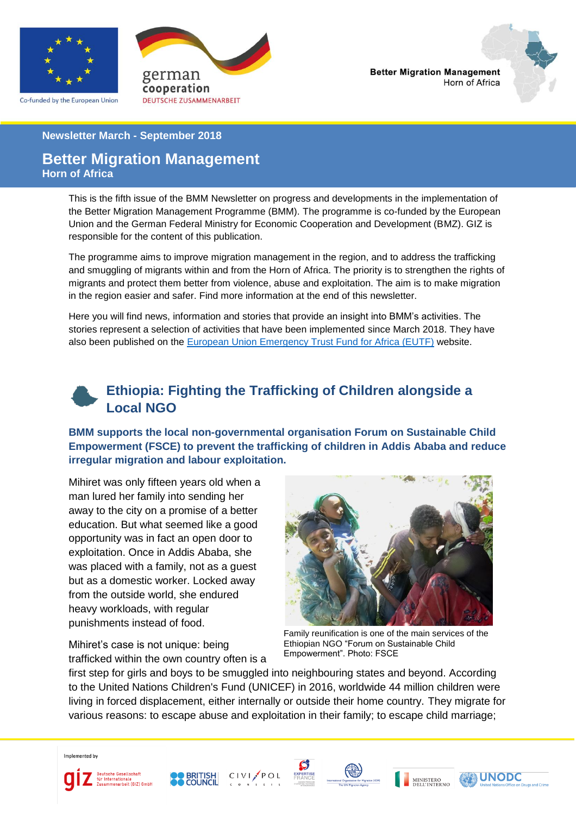

Co-funded by the European Union





#### **Newsletter March - September 2018**

### **Better Migration Management Horn of Africa**

This is the fifth issue of the BMM Newsletter on progress and developments in the implementation of the Better Migration Management Programme (BMM). The programme is co-funded by the European Union and the German Federal Ministry for Economic Cooperation and Development (BMZ). GIZ is responsible for the content of this publication.

The programme aims to improve migration management in the region, and to address the trafficking and smuggling of migrants within and from the Horn of Africa. The priority is to strengthen the rights of migrants and protect them better from violence, abuse and exploitation. The aim is to make migration in the region easier and safer. Find more information at the end of this newsletter.

Here you will find news, information and stories that provide an insight into BMM's activities. The stories represent a selection of activities that have been implemented since March 2018. They have also been published on the [European Union Emergency Trust Fund for Africa \(EUTF\)](https://ec.europa.eu/trustfundforafrica/node/162) website.



**BMM supports the local non-governmental organisation Forum on Sustainable Child Empowerment (FSCE) to prevent the trafficking of children in Addis Ababa and reduce irregular migration and labour exploitation.**

Mihiret was only fifteen years old when a man lured her family into sending her away to the city on a promise of a better education. But what seemed like a good opportunity was in fact an open door to exploitation. Once in Addis Ababa, she was placed with a family, not as a guest but as a domestic worker. Locked away from the outside world, she endured heavy workloads, with regular punishments instead of food.

Mihiret's case is not unique: being

trafficked within the own country often is a



Family reunification is one of the main services of the Ethiopian NGO "Forum on Sustainable Child Empowerment". Photo: FSCE

first step for girls and boys to be smuggled into neighbouring states and beyond. According to the United Nations Children's Fund (UNICEF) in 2016, worldwide 44 million children were living in forced displacement, either internally or outside their home country. They migrate for various reasons: to escape abuse and exploitation in their family; to escape child marriage;

Implemented by











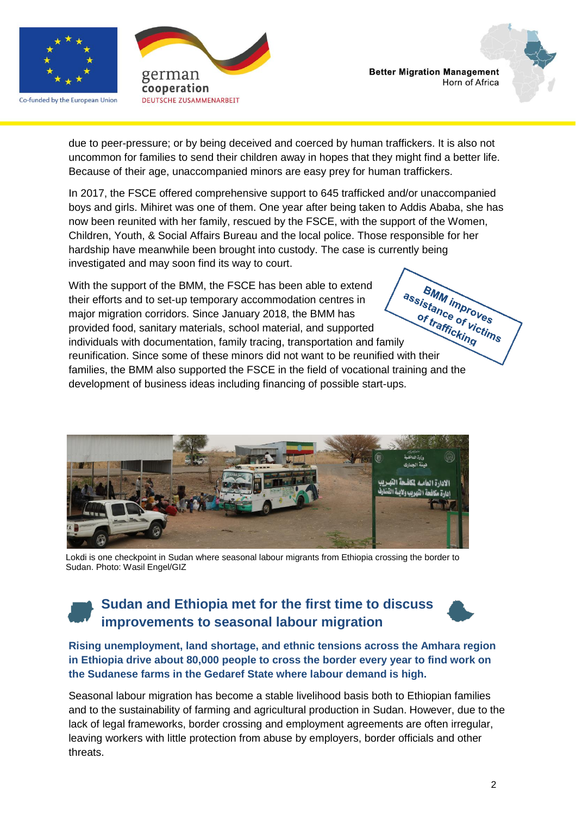

Co-funded by the European Union





due to peer-pressure; or by being deceived and coerced by human traffickers. It is also not uncommon for families to send their children away in hopes that they might find a better life. Because of their age, unaccompanied minors are easy prey for human traffickers.

In 2017, the FSCE offered comprehensive support to 645 trafficked and/or unaccompanied boys and girls. Mihiret was one of them. One year after being taken to Addis Ababa, she has now been reunited with her family, rescued by the FSCE, with the support of the Women, Children, Youth, & Social Affairs Bureau and the local police. Those responsible for her hardship have meanwhile been brought into custody. The case is currently being investigated and may soon find its way to court.

BMM improves With the support of the BMM, the FSCE has been able to extend VIIII THE SERVIE INTERNATION TRIET OF SERVICE THEIR THEIR THEIR THEIR PROVIDENT MAGNETIC MINOR THEIR PROVIDENT INCREDITION INCREDITION IN THE INCREDITION of the BMM has provided food, sanitary materials, school material, their efforts and to set-up temporary accommodation centres in of trafficking major migration corridors. Since January 2018, the BMM has provided food, sanitary materials, school material, and supported reunification. Since some of these minors did not want to be reunified with their families, the BMM also supported the FSCE in the field of vocational training and the development of business ideas including financing of possible start-ups.



Lokdi is one checkpoint in Sudan where seasonal labour migrants from Ethiopia crossing the border to Sudan. Photo: Wasil Engel/GIZ

# **Sudan and Ethiopia met for the first time to discuss improvements to seasonal labour migration**



**Rising unemployment, land shortage, and ethnic tensions across the Amhara region in Ethiopia drive about 80,000 people to cross the border every year to find work on the Sudanese farms in the Gedaref State where labour demand is high.** 

Seasonal labour migration has become a stable livelihood basis both to Ethiopian families and to the sustainability of farming and agricultural production in Sudan. However, due to the lack of legal frameworks, border crossing and employment agreements are often irregular, leaving workers with little protection from abuse by employers, border officials and other threats.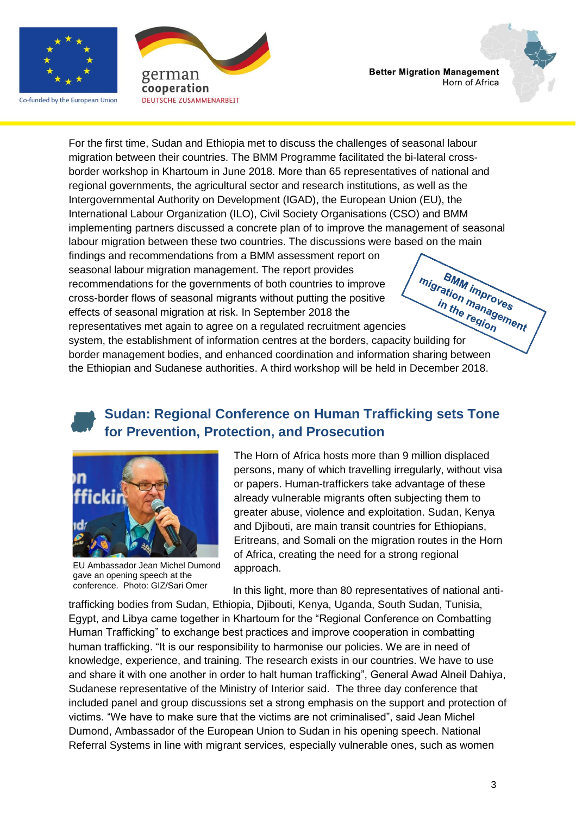

Co-funded by the European Union





For the first time, Sudan and Ethiopia met to discuss the challenges of seasonal labour migration between their countries. The BMM Programme facilitated the bi-lateral crossborder workshop in Khartoum in June 2018. More than 65 representatives of national and regional governments, the agricultural sector and research institutions, as well as the Intergovernmental Authority on Development (IGAD), the European Union (EU), the International Labour Organization (ILO), Civil Society Organisations (CSO) and BMM implementing partners discussed a concrete plan of to improve the management of seasonal labour migration between these two countries. The discussions were based on the main findings and recommendations from a BMM assessment report on seasonal labour migration management. The report provides BMM improves

recommendations for the governments of both countries to improve cross-border flows of seasonal migrants without putting the positive effects of seasonal migration at risk. In September 2018 the season and the government of information at risk. In September 2018 the<br>effects of seasonal migration at risk. In September 2018 the<br>representatives met again to agree on a regulated recruitment agencies<br>system, the establ

representatives met again to agree on a regulated recruitment agencies border management bodies, and enhanced coordination and information sharing between the Ethiopian and Sudanese authorities. A third workshop will be held in December 2018.

## **Sudan: Regional Conference on Human Trafficking sets Tone for Prevention, Protection, and Prosecution**



EU Ambassador Jean Michel Dumond gave an opening speech at the conference. Photo: GIZ/Sari Omer

The Horn of Africa hosts more than 9 million displaced persons, many of which travelling irregularly, without visa or papers. Human-traffickers take advantage of these already vulnerable migrants often subjecting them to greater abuse, violence and exploitation. Sudan, Kenya and Djibouti, are main transit countries for Ethiopians, Eritreans, and Somali on the migration routes in the Horn of Africa, creating the need for a strong regional approach.

In this light, more than 80 representatives of national antitrafficking bodies from Sudan, Ethiopia, Djibouti, Kenya, Uganda, South Sudan, Tunisia, Egypt, and Libya came together in Khartoum for the "Regional Conference on Combatting Human Trafficking" to exchange best practices and improve cooperation in combatting human trafficking. "It is our responsibility to harmonise our policies. We are in need of knowledge, experience, and training. The research exists in our countries. We have to use and share it with one another in order to halt human trafficking", General Awad Alneil Dahiya, Sudanese representative of the Ministry of Interior said. The three day conference that included panel and group discussions set a strong emphasis on the support and protection of victims. "We have to make sure that the victims are not criminalised", said Jean Michel Dumond, Ambassador of the European Union to Sudan in his opening speech. National Referral Systems in line with migrant services, especially vulnerable ones, such as women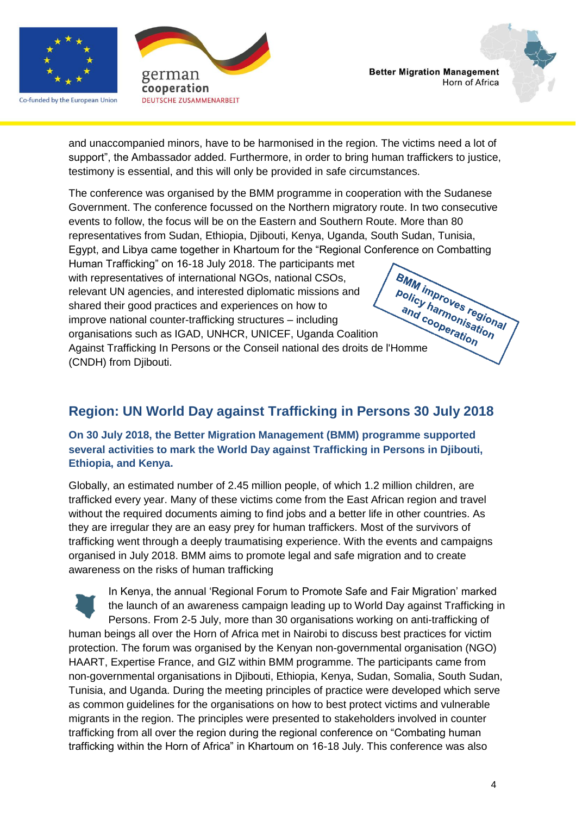

Co-funded by the European Union





and unaccompanied minors, have to be harmonised in the region. The victims need a lot of support", the Ambassador added. Furthermore, in order to bring human traffickers to justice, testimony is essential, and this will only be provided in safe circumstances.

The conference was organised by the BMM programme in cooperation with the Sudanese Government. The conference focussed on the Northern migratory route. In two consecutive events to follow, the focus will be on the Eastern and Southern Route. More than 80 representatives from Sudan, Ethiopia, Djibouti, Kenya, Uganda, South Sudan, Tunisia, Egypt, and Libya came together in Khartoum for the "Regional Conference on Combatting Human Trafficking" on 16-18 July 2018. The participants met

**BMM improves regional** with representatives of international NGOs, national CSOs, relevant UN agencies, and their<br>shared their good practices and experiences on now to<br>improve national counter-trafficking structures – including<br>organisations such as IGAD, UNHCR, UNICEF, Uganda Coalition<br>Against Traffick relevant UN agencies, and interested diplomatic missions and shared their good practices and experiences on how to improve national counter-trafficking structures – including organisations such as IGAD, UNHCR, UNICEF, Uganda Coalition (CNDH) from Djibouti.

## **Region: UN World Day against Trafficking in Persons 30 July 2018**

### **On 30 July 2018, the Better Migration Management (BMM) programme supported several activities to mark the World Day against Trafficking in Persons in Djibouti, Ethiopia, and Kenya.**

Globally, an estimated number of 2.45 million people, of which 1.2 million children, are trafficked every year. Many of these victims come from the East African region and travel without the required documents aiming to find jobs and a better life in other countries. As they are irregular they are an easy prey for human traffickers. Most of the survivors of trafficking went through a deeply traumatising experience. With the events and campaigns organised in July 2018. BMM aims to promote legal and safe migration and to create awareness on the risks of human trafficking

In Kenya, the annual 'Regional Forum to Promote Safe and Fair Migration' marked the launch of an awareness campaign leading up to World Day against Trafficking in Persons. From 2-5 July, more than 30 organisations working on anti-trafficking of human beings all over the Horn of Africa met in Nairobi to discuss best practices for victim protection. The forum was organised by the Kenyan non-governmental organisation (NGO) HAART, Expertise France, and GIZ within BMM programme. The participants came from non-governmental organisations in Djibouti, Ethiopia, Kenya, Sudan, Somalia, South Sudan, Tunisia, and Uganda. During the meeting principles of practice were developed which serve as common guidelines for the organisations on how to best protect victims and vulnerable migrants in the region. The principles were presented to stakeholders involved in counter trafficking from all over the region during the regional conference on "Combating human trafficking within the Horn of Africa" in Khartoum on 16-18 July. This conference was also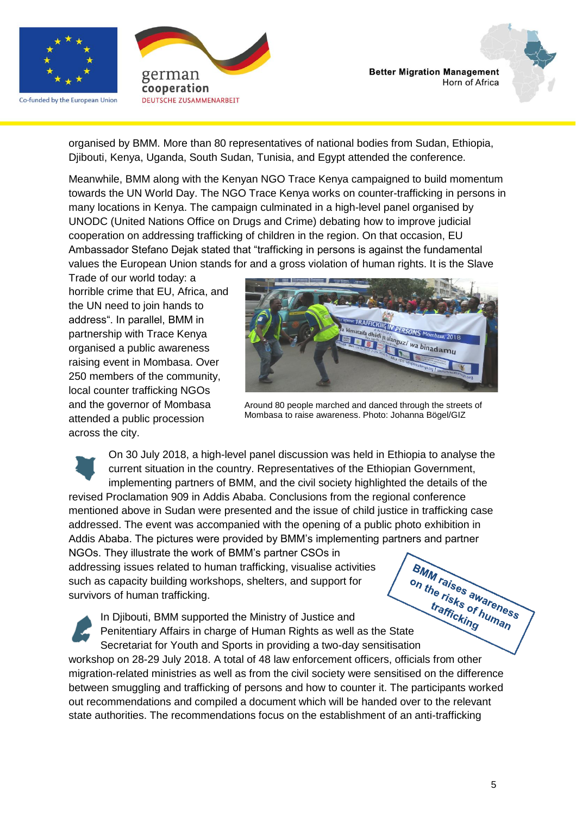

Co-funded by the European Union





organised by BMM. More than 80 representatives of national bodies from Sudan, Ethiopia, Djibouti, Kenya, Uganda, South Sudan, Tunisia, and Egypt attended the conference.

Meanwhile, BMM along with the Kenyan NGO Trace Kenya campaigned to build momentum towards the UN World Day. The NGO Trace Kenya works on counter-trafficking in persons in many locations in Kenya. The campaign culminated in a high-level panel organised by UNODC (United Nations Office on Drugs and Crime) debating how to improve judicial cooperation on addressing trafficking of children in the region. On that occasion, EU Ambassador Stefano Dejak stated that "trafficking in persons is against the fundamental values the European Union stands for and a gross violation of human rights. It is the Slave

Trade of our world today: a horrible crime that EU, Africa, and the UN need to join hands to address". In parallel, BMM in partnership with Trace Kenya organised a public awareness raising event in Mombasa. Over 250 members of the community, local counter trafficking NGOs and the governor of Mombasa attended a public procession across the city.



Around 80 people marched and danced through the streets of Mombasa to raise awareness. Photo: Johanna Bögel/GIZ

On 30 July 2018, a high-level panel discussion was held in Ethiopia to analyse the current situation in the country. Representatives of the Ethiopian Government, implementing partners of BMM, and the civil society highlighted the details of the revised Proclamation 909 in Addis Ababa. Conclusions from the regional conference mentioned above in Sudan were presented and the issue of child justice in trafficking case addressed. The event was accompanied with the opening of a public photo exhibition in Addis Ababa. The pictures were provided by BMM's implementing partners and partner NGOs. They illustrate the work of BMM's partner CSOs in addressing issues related to human trafficking, visualise activities such as capacity building workshops, shelters, and support for survivors of human trafficking. Sing issues related to make the Ministry of Justice and<br>Displacity building workshops, shelters, and supper-<br>In Djibouti, BMM supported the Ministry of Justice and<br>Penitentiary Affairs in charge of Human Rights as well as

In Djibouti, BMM supported the Ministry of Justice and Secretariat for Youth and Sports in providing a two-day sensitisation workshop on 28-29 July 2018. A total of 48 law enforcement officers, officials from other migration-related ministries as well as from the civil society were sensitised on the difference between smuggling and trafficking of persons and how to counter it. The participants worked out recommendations and compiled a document which will be handed over to the relevant state authorities. The recommendations focus on the establishment of an anti-trafficking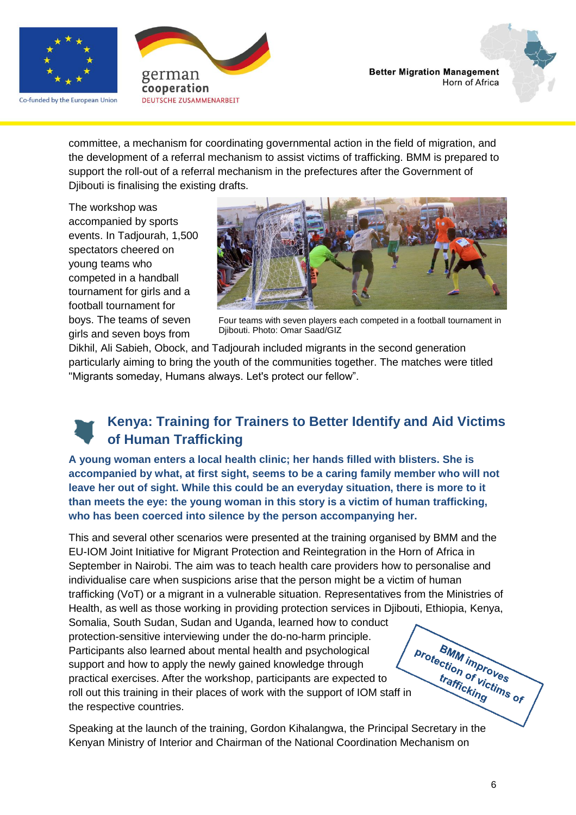

Co-funded by the European Union





committee, a mechanism for coordinating governmental action in the field of migration, and the development of a referral mechanism to assist victims of trafficking. BMM is prepared to support the roll-out of a referral mechanism in the prefectures after the Government of Djibouti is finalising the existing drafts.

The workshop was accompanied by sports events. In Tadjourah, 1,500 spectators cheered on young teams who competed in a handball tournament for girls and a football tournament for boys. The teams of seven girls and seven boys from



Four teams with seven players each competed in a football tournament in Djibouti. Photo: Omar Saad/GIZ

Dikhil, Ali Sabieh, Obock, and Tadjourah included migrants in the second generation particularly aiming to bring the youth of the communities together. The matches were titled "Migrants someday, Humans always. Let's protect our fellow".

## **Kenya: Training for Trainers to Better Identify and Aid Victims of Human Trafficking**

**A young woman enters a local health clinic; her hands filled with blisters. She is accompanied by what, at first sight, seems to be a caring family member who will not leave her out of sight. While this could be an everyday situation, there is more to it than meets the eye: the young woman in this story is a victim of human trafficking, who has been coerced into silence by the person accompanying her.**

This and several other scenarios were presented at the training organised by BMM and the EU-IOM Joint Initiative for Migrant Protection and Reintegration in the Horn of Africa in September in Nairobi. The aim was to teach health care providers how to personalise and individualise care when suspicions arise that the person might be a victim of human trafficking (VoT) or a migrant in a vulnerable situation. Representatives from the Ministries of Health, as well as those working in providing protection services in Djibouti, Ethiopia, Kenya, Somalia, South Sudan, Sudan and Uganda, learned how to conduct protection-sensitive interviewing under the do-no-harm principle. Preter in the support and how to apply the newly gained knowledge  $\frac{1}{2}$  and  $\frac{1}{2}$  support and how to apply the newly gained knowledge  $\frac{1}{2}$  and  $\frac{1}{2}$  and  $\frac{1}{2}$  are expected to roll out this training in **BMM improves** Participants also learned about mental health and psychological support and how to apply the newly gained knowledge through practical exercises. After the workshop, participants are expected to the respective countries.

Speaking at the launch of the training, Gordon Kihalangwa, the Principal Secretary in the Kenyan Ministry of Interior and Chairman of the National Coordination Mechanism on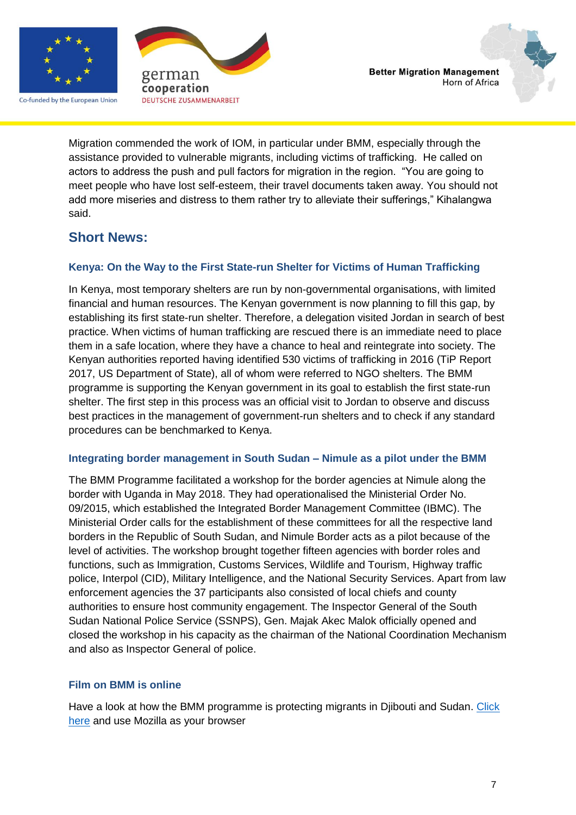

Co-funded by the European Union



**Better Migration Management** Horn of Africa

Migration commended the work of IOM, in particular under BMM, especially through the assistance provided to vulnerable migrants, including victims of trafficking. He called on actors to address the push and pull factors for migration in the region. "You are going to meet people who have lost self-esteem, their travel documents taken away. You should not add more miseries and distress to them rather try to alleviate their sufferings," Kihalangwa said.

## **Short News:**

### **Kenya: On the Way to the First State-run Shelter for Victims of Human Trafficking**

In Kenya, most temporary shelters are run by non-governmental organisations, with limited financial and human resources. The Kenyan government is now planning to fill this gap, by establishing its first state-run shelter. Therefore, a delegation visited Jordan in search of best practice. When victims of human trafficking are rescued there is an immediate need to place them in a safe location, where they have a chance to heal and reintegrate into society. The Kenyan authorities reported having identified 530 victims of trafficking in 2016 (TiP Report 2017, US Department of State), all of whom were referred to NGO shelters. The BMM programme is supporting the Kenyan government in its goal to establish the first state-run shelter. The first step in this process was an official visit to Jordan to observe and discuss best practices in the management of government-run shelters and to check if any standard procedures can be benchmarked to Kenya.

### **Integrating border management in South Sudan – Nimule as a pilot under the BMM**

The BMM Programme facilitated a workshop for the border agencies at Nimule along the border with Uganda in May 2018. They had operationalised the Ministerial Order No. 09/2015, which established the Integrated Border Management Committee (IBMC). The Ministerial Order calls for the establishment of these committees for all the respective land borders in the Republic of South Sudan, and Nimule Border acts as a pilot because of the level of activities. The workshop brought together fifteen agencies with border roles and functions, such as Immigration, Customs Services, Wildlife and Tourism, Highway traffic police, Interpol (CID), Military Intelligence, and the National Security Services. Apart from law enforcement agencies the 37 participants also consisted of local chiefs and county authorities to ensure host community engagement. The Inspector General of the South Sudan National Police Service (SSNPS), Gen. Majak Akec Malok officially opened and closed the workshop in his capacity as the chairman of the National Coordination Mechanism and also as Inspector General of police.

### **Film on BMM is online**

Have a look at how the BMM programme is protecting migrants in Djibouti and Sudan. Click [here](https://ec.europa.eu/trustfundforafrica/all-news-and-stories/mobile-clinic-and-first-aid-training-have-look-how-better-migration-management_en) and use Mozilla as your browser